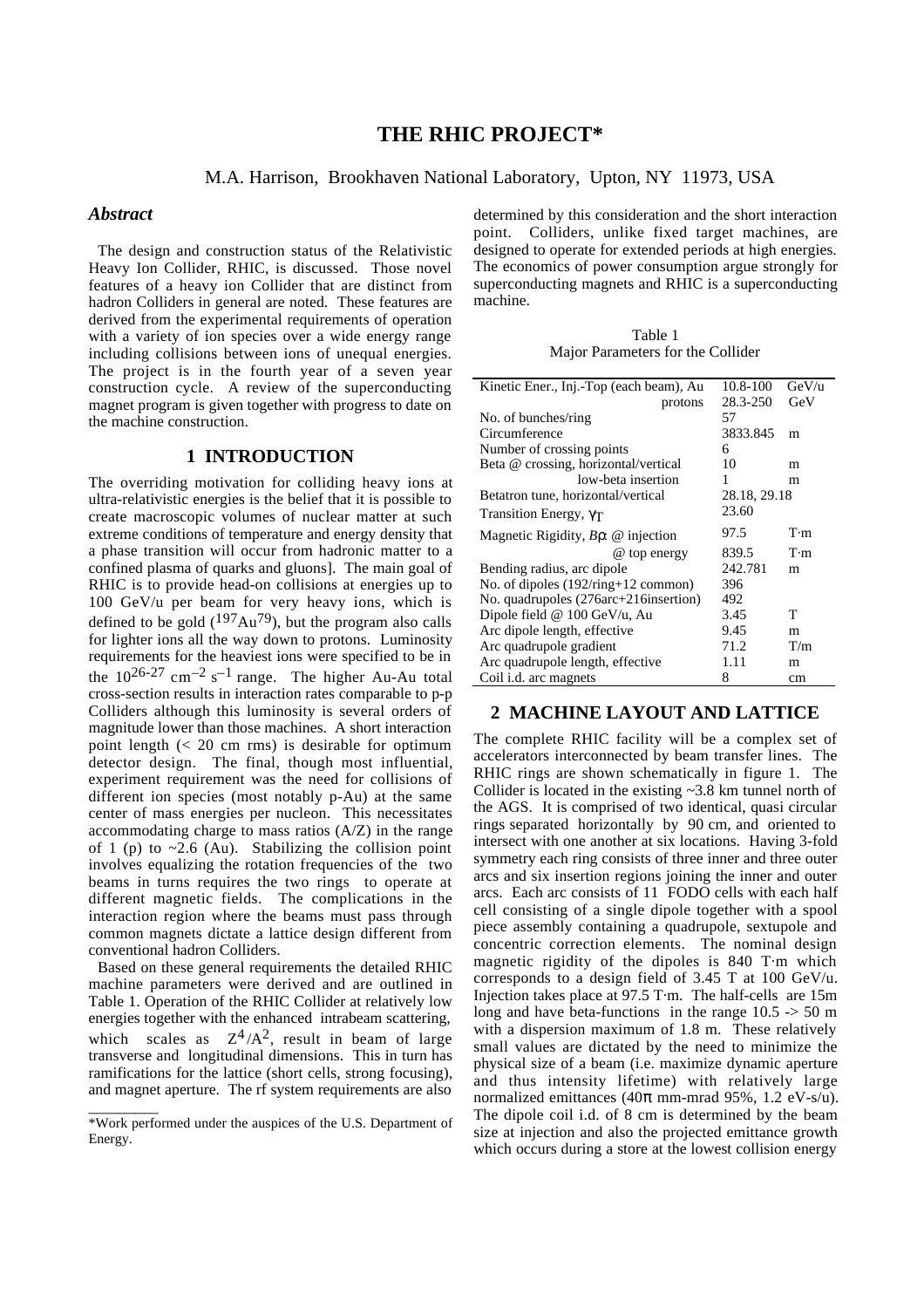# **THE RHIC PROJECT\***

#### M.A. Harrison, Brookhaven National Laboratory, Upton, NY 11973, USA

#### *Abstract*

 The design and construction status of the Relativistic Heavy Ion Collider, RHIC, is discussed. Those novel features of a heavy ion Collider that are distinct from hadron Colliders in general are noted. These features are derived from the experimental requirements of operation with a variety of ion species over a wide energy range including collisions between ions of unequal energies. The project is in the fourth year of a seven year construction cycle. A review of the superconducting magnet program is given together with progress to date on the machine construction.

## **1 INTRODUCTION**

The overriding motivation for colliding heavy ions at ultra-relativistic energies is the belief that it is possible to create macroscopic volumes of nuclear matter at such extreme conditions of temperature and energy density that a phase transition will occur from hadronic matter to a confined plasma of quarks and gluons]. The main goal of RHIC is to provide head-on collisions at energies up to 100 GeV/u per beam for very heavy ions, which is defined to be gold  $(197Au^{79})$ , but the program also calls for lighter ions all the way down to protons. Luminosity requirements for the heaviest ions were specified to be in the  $10^{26-27}$  cm<sup>-2</sup> s<sup>-1</sup> range. The higher Au-Au total cross-section results in interaction rates comparable to p-p Colliders although this luminosity is several orders of magnitude lower than those machines. A short interaction point length  $( $20 \text{ cm} \text{ rms}$ )$  is desirable for optimum detector design. The final, though most influential, experiment requirement was the need for collisions of different ion species (most notably p-Au) at the same center of mass energies per nucleon. This necessitates accommodating charge to mass ratios (A/Z) in the range of 1 (p) to  $\sim$ 2.6 (Au). Stabilizing the collision point involves equalizing the rotation frequencies of the two beams in turns requires the two rings to operate at different magnetic fields. The complications in the interaction region where the beams must pass through common magnets dictate a lattice design different from conventional hadron Colliders.

 Based on these general requirements the detailed RHIC machine parameters were derived and are outlined in Table 1. Operation of the RHIC Collider at relatively low energies together with the enhanced intrabeam scattering, which scales as  $Z^4/A^2$ , result in beam of large transverse and longitudinal dimensions. This in turn has ramifications for the lattice (short cells, strong focusing), and magnet aperture. The rf system requirements are also

\_\_\_\_\_\_\_\_\_

determined by this consideration and the short interaction point. Colliders, unlike fixed target machines, are designed to operate for extended periods at high energies. The economics of power consumption argue strongly for superconducting magnets and RHIC is a superconducting machine.

Table 1 Major Parameters for the Collider

| Kinetic Ener., Inj.-Top (each beam), Au  | 10.8-100     | GeV/u       |
|------------------------------------------|--------------|-------------|
| protons                                  | 28.3-250     | GeV         |
| No. of bunches/ring                      | 57           |             |
| Circumference                            | 3833.845     | m           |
| Number of crossing points                | 6            |             |
| Beta @ crossing, horizontal/vertical     | 10           | m           |
| low-beta insertion                       | 1            | m           |
| Betatron tune, horizontal/vertical       | 28.18, 29.18 |             |
| Transition Energy, $\gamma_T$            | 23.60        |             |
| Magnetic Rigidity, $B\rho$ : @ injection | 97.5         | $T \cdot m$ |
| $\omega$ top energy                      | 839.5        | $T \cdot m$ |
| Bending radius, arc dipole               | 242.781      | m           |
| No. of dipoles $(192/ring+12$ common)    | 396          |             |
| No. quadrupoles (276arc+216insertion)    | 492          |             |
| Dipole field @ 100 GeV/u, Au             | 3.45         | T           |
| Arc dipole length, effective             | 9.45         | m           |
| Arc quadrupole gradient                  | 71.2         | T/m         |
| Arc quadrupole length, effective         | 1.11         | m           |
| Coil <i>i.d.</i> arc magnets             | 8            | cm          |

### **2 MACHINE LAYOUT AND LATTICE**

The complete RHIC facility will be a complex set of accelerators interconnected by beam transfer lines. The RHIC rings are shown schematically in figure 1. The Collider is located in the existing ~3.8 km tunnel north of the AGS. It is comprised of two identical, quasi circular rings separated horizontally by 90 cm, and oriented to intersect with one another at six locations. Having 3-fold symmetry each ring consists of three inner and three outer arcs and six insertion regions joining the inner and outer arcs. Each arc consists of 11 FODO cells with each half cell consisting of a single dipole together with a spool piece assembly containing a quadrupole, sextupole and concentric correction elements. The nominal design magnetic rigidity of the dipoles is 840 T·m which corresponds to a design field of 3.45 T at 100 GeV/u. Injection takes place at 97.5 T·m. The half-cells are 15m long and have beta-functions in the range  $10.5 \div 50$  m with a dispersion maximum of 1.8 m. These relatively small values are dictated by the need to minimize the physical size of a beam (i.e. maximize dynamic aperture and thus intensity lifetime) with relatively large normalized emittances (40π mm-mrad 95%, 1.2 eV-s/u). The dipole coil i.d. of 8 cm is determined by the beam size at injection and also the projected emittance growth which occurs during a store at the lowest collision energy

<sup>\*</sup>Work performed under the auspices of the U.S. Department of Energy.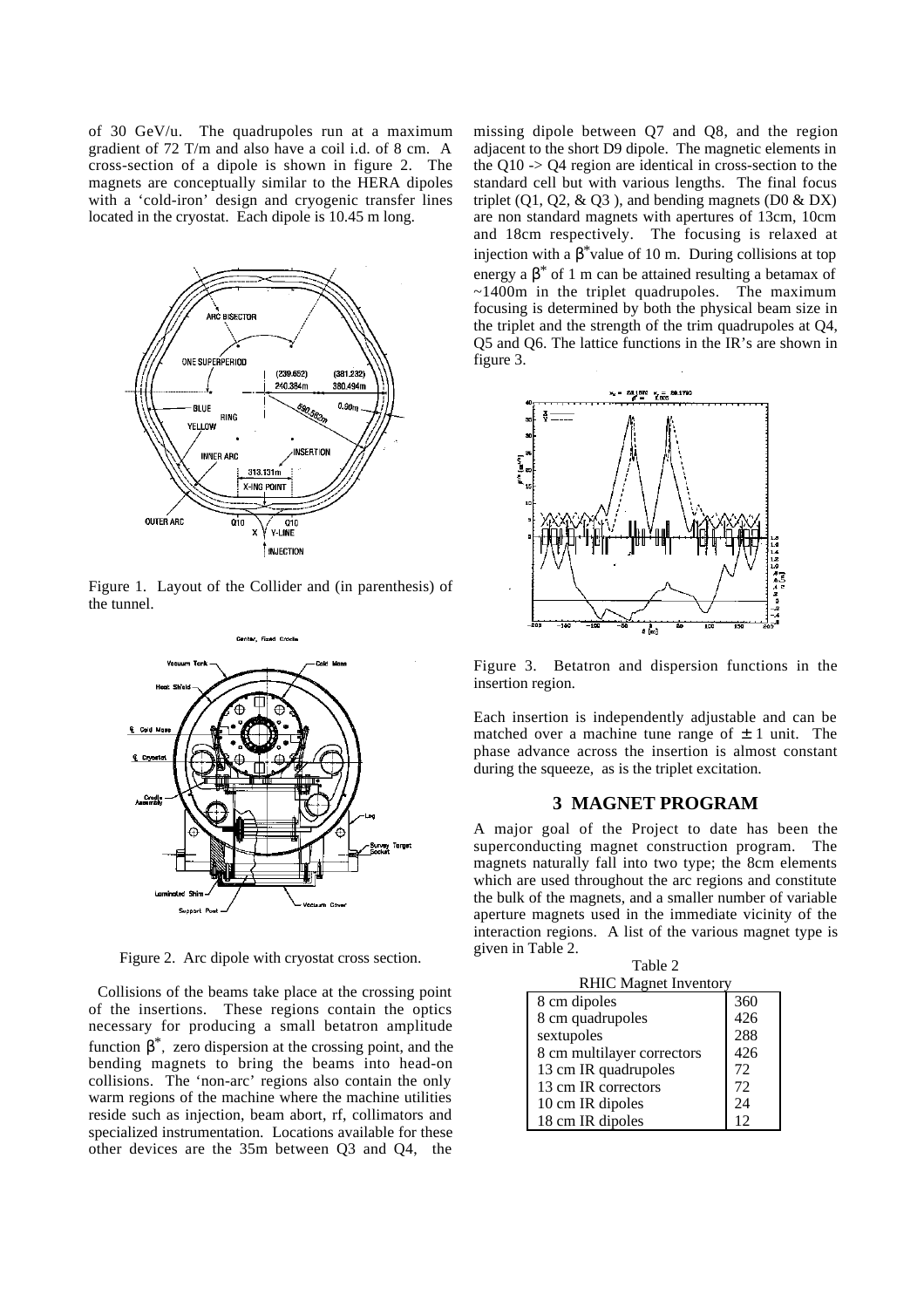of 30 GeV/u. The quadrupoles run at a maximum gradient of 72 T/m and also have a coil i.d. of 8 cm. A cross-section of a dipole is shown in figure 2. The magnets are conceptually similar to the HERA dipoles with a 'cold-iron' design and cryogenic transfer lines located in the cryostat. Each dipole is 10.45 m long.



Figure 1. Layout of the Collider and (in parenthesis) of the tunnel.



Figure 2. Arc dipole with cryostat cross section.

 Collisions of the beams take place at the crossing point of the insertions. These regions contain the optics necessary for producing a small betatron amplitude function  $\beta^*$ , zero dispersion at the crossing point, and the bending magnets to bring the beams into head-on collisions. The 'non-arc' regions also contain the only warm regions of the machine where the machine utilities reside such as injection, beam abort, rf, collimators and specialized instrumentation. Locations available for these other devices are the 35m between Q3 and Q4, the

missing dipole between Q7 and Q8, and the region adjacent to the short D9 dipole. The magnetic elements in the Q10 -> Q4 region are identical in cross-section to the standard cell but with various lengths. The final focus triplet  $(01, 02, \& 03)$ , and bending magnets  $(D0 \& D X)$ are non standard magnets with apertures of 13cm, 10cm and 18cm respectively. The focusing is relaxed at injection with a  $\beta^*$ value of 10 m. During collisions at top energy a  $\beta^*$  of 1 m can be attained resulting a betamax of ~1400m in the triplet quadrupoles. The maximum focusing is determined by both the physical beam size in the triplet and the strength of the trim quadrupoles at Q4, Q5 and Q6. The lattice functions in the IR's are shown in figure 3.



Figure 3. Betatron and dispersion functions in the insertion region.

Each insertion is independently adjustable and can be matched over a machine tune range of  $\pm$  1 unit. The phase advance across the insertion is almost constant during the squeeze, as is the triplet excitation.

#### **3 MAGNET PROGRAM**

A major goal of the Project to date has been the superconducting magnet construction program. The magnets naturally fall into two type; the 8cm elements which are used throughout the arc regions and constitute the bulk of the magnets, and a smaller number of variable aperture magnets used in the immediate vicinity of the interaction regions. A list of the various magnet type is given in Table 2.

| Table 2                      |     |  |  |
|------------------------------|-----|--|--|
| <b>RHIC Magnet Inventory</b> |     |  |  |
| 8 cm dipoles                 | 360 |  |  |
| 8 cm quadrupoles             | 426 |  |  |
| sextupoles                   | 288 |  |  |
| 8 cm multilayer correctors   | 426 |  |  |
| 13 cm IR quadrupoles         | 72  |  |  |
| 13 cm IR correctors          | 72  |  |  |
| 10 cm IR dipoles             | 24  |  |  |
| 18 cm IR dipoles             | 12  |  |  |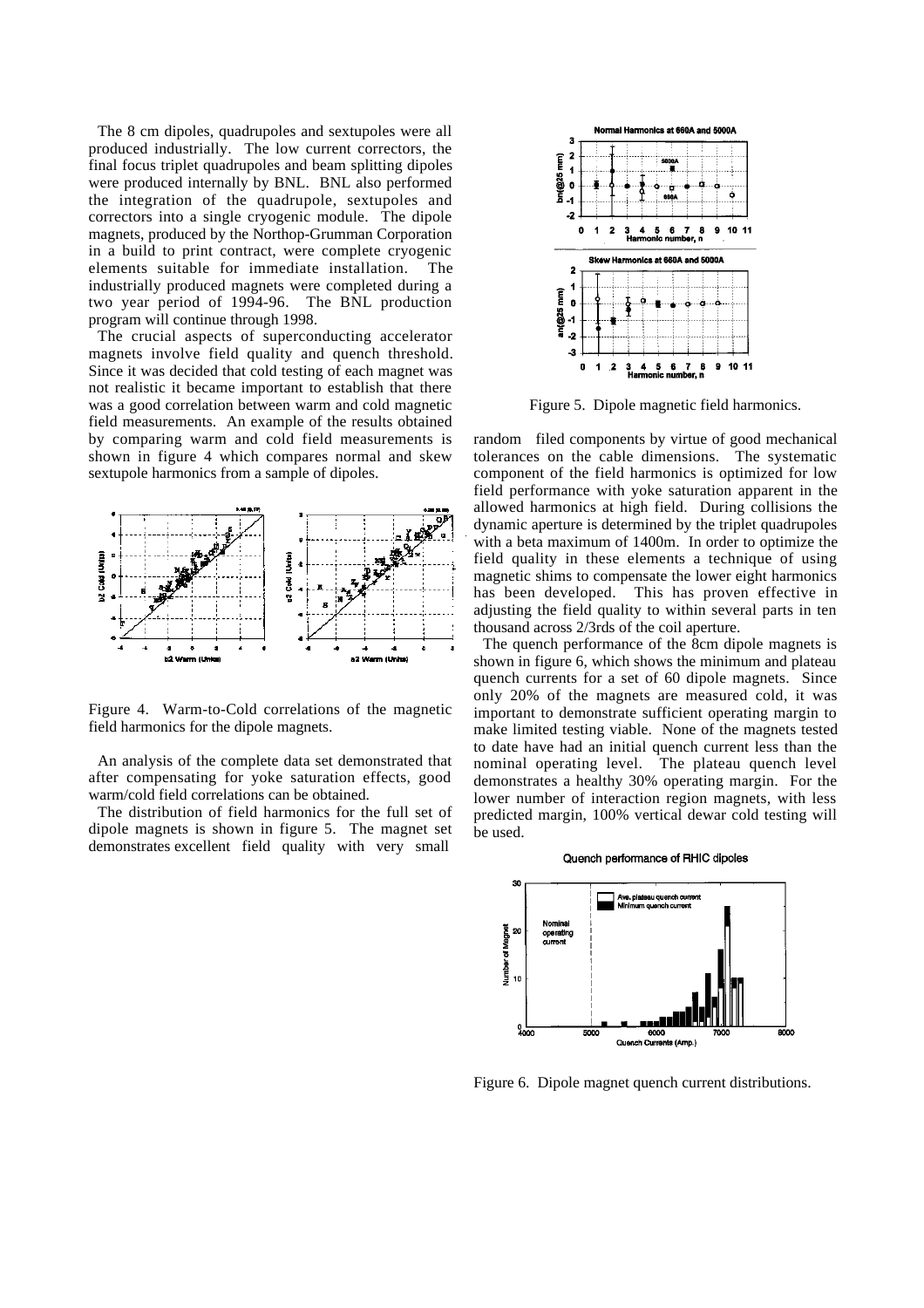The 8 cm dipoles, quadrupoles and sextupoles were all produced industrially. The low current correctors, the final focus triplet quadrupoles and beam splitting dipoles were produced internally by BNL. BNL also performed the integration of the quadrupole, sextupoles and correctors into a single cryogenic module. The dipole magnets, produced by the Northop-Grumman Corporation in a build to print contract, were complete cryogenic elements suitable for immediate installation. The industrially produced magnets were completed during a two year period of 1994-96. The BNL production program will continue through 1998.

 The crucial aspects of superconducting accelerator magnets involve field quality and quench threshold. Since it was decided that cold testing of each magnet was not realistic it became important to establish that there was a good correlation between warm and cold magnetic field measurements. An example of the results obtained by comparing warm and cold field measurements is shown in figure 4 which compares normal and skew sextupole harmonics from a sample of dipoles.



Figure 4. Warm-to-Cold correlations of the magnetic field harmonics for the dipole magnets.

 An analysis of the complete data set demonstrated that after compensating for yoke saturation effects, good warm/cold field correlations can be obtained.

The distribution of field harmonics for the full set of dipole magnets is shown in figure 5. The magnet set demonstrates excellent field quality with very small



Figure 5. Dipole magnetic field harmonics.

random filed components by virtue of good mechanical tolerances on the cable dimensions. The systematic component of the field harmonics is optimized for low field performance with yoke saturation apparent in the allowed harmonics at high field. During collisions the dynamic aperture is determined by the triplet quadrupoles with a beta maximum of 1400m. In order to optimize the field quality in these elements a technique of using magnetic shims to compensate the lower eight harmonics has been developed. This has proven effective in adjusting the field quality to within several parts in ten thousand across 2/3rds of the coil aperture.

 The quench performance of the 8cm dipole magnets is shown in figure 6, which shows the minimum and plateau quench currents for a set of 60 dipole magnets. Since only 20% of the magnets are measured cold, it was important to demonstrate sufficient operating margin to make limited testing viable. None of the magnets tested to date have had an initial quench current less than the nominal operating level. The plateau quench level demonstrates a healthy 30% operating margin. For the lower number of interaction region magnets, with less predicted margin, 100% vertical dewar cold testing will be used.



Figure 6. Dipole magnet quench current distributions.